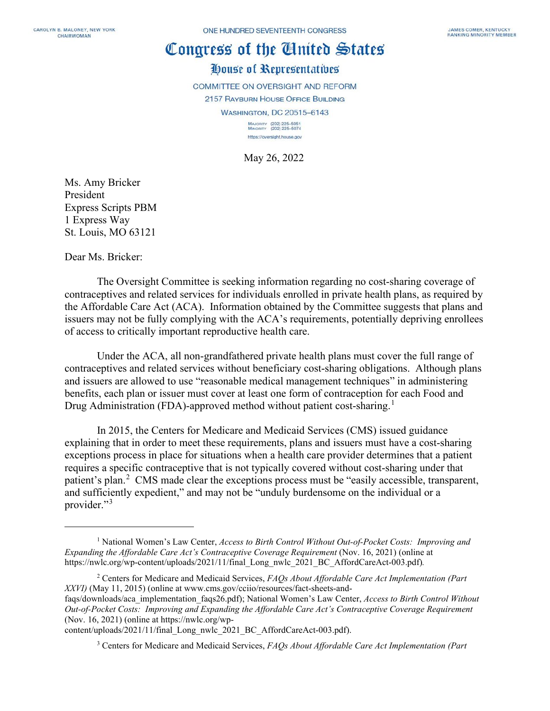## Congress of the Cinited States

## House of Representatives

COMMITTEE ON OVERSIGHT AND REFORM

2157 RAYBURN HOUSE OFFICE BUILDING WASHINGTON, DC 20515-6143

> MAJORITY (202) 225-5051<br>MINORITY (202) 225-5074 https://oversight.house.gov

May 26, 2022

Ms. Amy Bricker President Express Scripts PBM 1 Express Way St. Louis, MO 63121

Dear Ms. Bricker:

The Oversight Committee is seeking information regarding no cost-sharing coverage of contraceptives and related services for individuals enrolled in private health plans, as required by the Affordable Care Act (ACA). Information obtained by the Committee suggests that plans and issuers may not be fully complying with the ACA's requirements, potentially depriving enrollees of access to critically important reproductive health care.

Under the ACA, all non-grandfathered private health plans must cover the full range of contraceptives and related services without beneficiary cost-sharing obligations. Although plans and issuers are allowed to use "reasonable medical management techniques" in administering benefits, each plan or issuer must cover at least one form of contraception for each Food and Drug Administration (FDA)-approved method without patient cost-sharing.<sup>[1](#page-0-0)</sup>

In 2015, the Centers for Medicare and Medicaid Services (CMS) issued guidance explaining that in order to meet these requirements, plans and issuers must have a cost-sharing exceptions process in place for situations when a health care provider determines that a patient requires a specific contraceptive that is not typically covered without cost-sharing under that patient's plan.<sup>[2](#page-0-1)</sup> CMS made clear the exceptions process must be "easily accessible, transparent, and sufficiently expedient," and may not be "unduly burdensome on the individual or a provider."<sup>[3](#page-0-2)</sup>

<span id="page-0-0"></span><sup>1</sup> National Women's Law Center, *Access to Birth Control Without Out-of-Pocket Costs: Improving and Expanding the Affordable Care Act's Contraceptive Coverage Requirement* (Nov. 16, 2021) (online at https://nwlc.org/wp-content/uploads/2021/11/final\_Long\_nwlc\_2021\_BC\_AffordCareAct-003.pdf)*.*

<span id="page-0-1"></span><sup>2</sup> Centers for Medicare and Medicaid Services, *FAQs About Affordable Care Act Implementation (Part XXVI)* (May 11, 2015) (online at www.cms.gov/cciio/resources/fact-sheets-and-

faqs/downloads/aca\_implementation\_faqs26.pdf); National Women's Law Center, *Access to Birth Control Without Out-of-Pocket Costs: Improving and Expanding the Affordable Care Act's Contraceptive Coverage Requirement* (Nov. 16, 2021) (online at https://nwlc.org/wp-

<span id="page-0-2"></span>content/uploads/2021/11/final\_Long\_nwlc\_2021\_BC\_AffordCareAct-003.pdf).

<sup>3</sup> Centers for Medicare and Medicaid Services, *FAQs About Affordable Care Act Implementation (Part*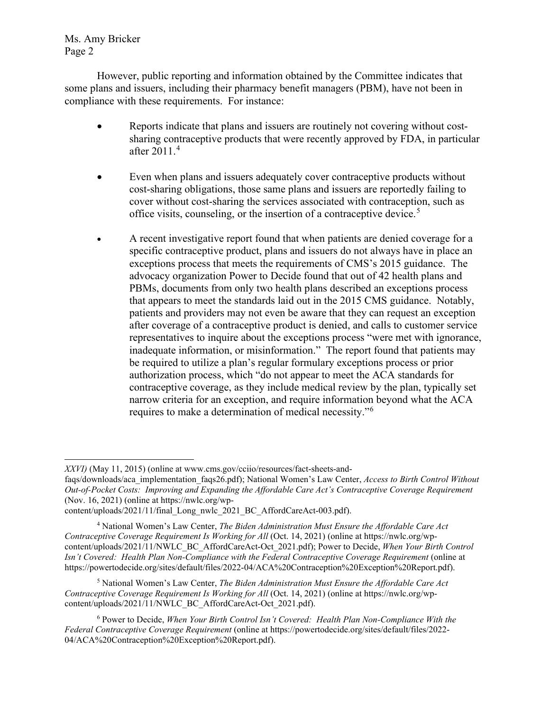Ms. Amy Bricker Page 2

However, public reporting and information obtained by the Committee indicates that some plans and issuers, including their pharmacy benefit managers (PBM), have not been in compliance with these requirements. For instance:

- Reports indicate that plans and issuers are routinely not covering without costsharing contraceptive products that were recently approved by FDA, in particular after 2011.[4](#page-1-0)
- Even when plans and issuers adequately cover contraceptive products without cost-sharing obligations, those same plans and issuers are reportedly failing to cover without cost-sharing the services associated with contraception, such as office visits, counseling, or the insertion of a contraceptive device.<sup>[5](#page-1-1)</sup>
- A recent investigative report found that when patients are denied coverage for a specific contraceptive product, plans and issuers do not always have in place an exceptions process that meets the requirements of CMS's 2015 guidance. The advocacy organization Power to Decide found that out of 42 health plans and PBMs, documents from only two health plans described an exceptions process that appears to meet the standards laid out in the 2015 CMS guidance. Notably, patients and providers may not even be aware that they can request an exception after coverage of a contraceptive product is denied, and calls to customer service representatives to inquire about the exceptions process "were met with ignorance, inadequate information, or misinformation." The report found that patients may be required to utilize a plan's regular formulary exceptions process or prior authorization process, which "do not appear to meet the ACA standards for contraceptive coverage, as they include medical review by the plan, typically set narrow criteria for an exception, and require information beyond what the ACA requires to make a determination of medical necessity."[6](#page-1-2)

*XXVI)* (May 11, 2015) (online at www.cms.gov/cciio/resources/fact-sheets-and-

faqs/downloads/aca\_implementation\_faqs26.pdf); National Women's Law Center, *Access to Birth Control Without Out-of-Pocket Costs: Improving and Expanding the Affordable Care Act's Contraceptive Coverage Requirement* (Nov. 16, 2021) (online at https://nwlc.org/wp-

content/uploads/2021/11/final\_Long\_nwlc\_2021\_BC\_AffordCareAct-003.pdf).

<span id="page-1-0"></span><sup>4</sup> National Women's Law Center, *The Biden Administration Must Ensure the Affordable Care Act Contraceptive Coverage Requirement Is Working for All* (Oct. 14, 2021) (online at https://nwlc.org/wpcontent/uploads/2021/11/NWLC\_BC\_AffordCareAct-Oct\_2021.pdf); Power to Decide, *When Your Birth Control Isn't Covered: Health Plan Non-Compliance with the Federal Contraceptive Coverage Requirement* (online at https://powertodecide.org/sites/default/files/2022-04/ACA%20Contraception%20Exception%20Report.pdf).

<span id="page-1-1"></span><sup>5</sup> National Women's Law Center, *The Biden Administration Must Ensure the Affordable Care Act Contraceptive Coverage Requirement Is Working for All* (Oct. 14, 2021) (online at https://nwlc.org/wpcontent/uploads/2021/11/NWLC\_BC\_AffordCareAct-Oct\_2021.pdf).

<span id="page-1-2"></span><sup>6</sup> Power to Decide, *When Your Birth Control Isn't Covered: Health Plan Non-Compliance With the Federal Contraceptive Coverage Requirement* (online at https://powertodecide.org/sites/default/files/2022- 04/ACA%20Contraception%20Exception%20Report.pdf).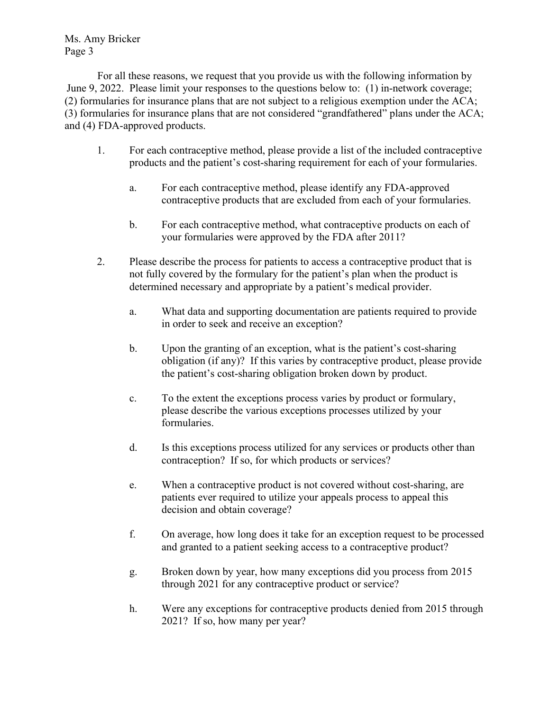Ms. Amy Bricker Page 3

For all these reasons, we request that you provide us with the following information by June 9, 2022. Please limit your responses to the questions below to: (1) in-network coverage; (2) formularies for insurance plans that are not subject to a religious exemption under the ACA; (3) formularies for insurance plans that are not considered "grandfathered" plans under the ACA; and (4) FDA-approved products.

- 1. For each contraceptive method, please provide a list of the included contraceptive products and the patient's cost-sharing requirement for each of your formularies.
	- a. For each contraceptive method, please identify any FDA-approved contraceptive products that are excluded from each of your formularies.
	- b. For each contraceptive method, what contraceptive products on each of your formularies were approved by the FDA after 2011?
- 2. Please describe the process for patients to access a contraceptive product that is not fully covered by the formulary for the patient's plan when the product is determined necessary and appropriate by a patient's medical provider.
	- a. What data and supporting documentation are patients required to provide in order to seek and receive an exception?
	- b. Upon the granting of an exception, what is the patient's cost-sharing obligation (if any)? If this varies by contraceptive product, please provide the patient's cost-sharing obligation broken down by product.
	- c. To the extent the exceptions process varies by product or formulary, please describe the various exceptions processes utilized by your formularies.
	- d. Is this exceptions process utilized for any services or products other than contraception? If so, for which products or services?
	- e. When a contraceptive product is not covered without cost-sharing, are patients ever required to utilize your appeals process to appeal this decision and obtain coverage?
	- f. On average, how long does it take for an exception request to be processed and granted to a patient seeking access to a contraceptive product?
	- g. Broken down by year, how many exceptions did you process from 2015 through 2021 for any contraceptive product or service?
	- h. Were any exceptions for contraceptive products denied from 2015 through 2021? If so, how many per year?